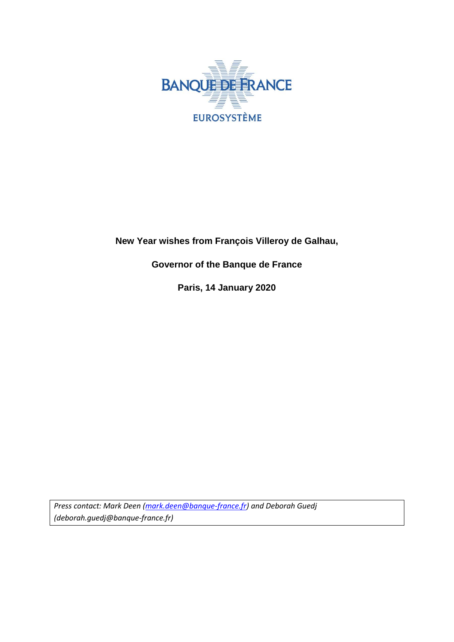

# **New Year wishes from François Villeroy de Galhau,**

## **Governor of the Banque de France**

**Paris, 14 January 2020**

*Press contact: Mark Deen [\(mark.deen@banque-france.fr\)](mailto:mark.deen@banque-france.fr) and Deborah Guedj (deborah.guedj@banque-france.fr)*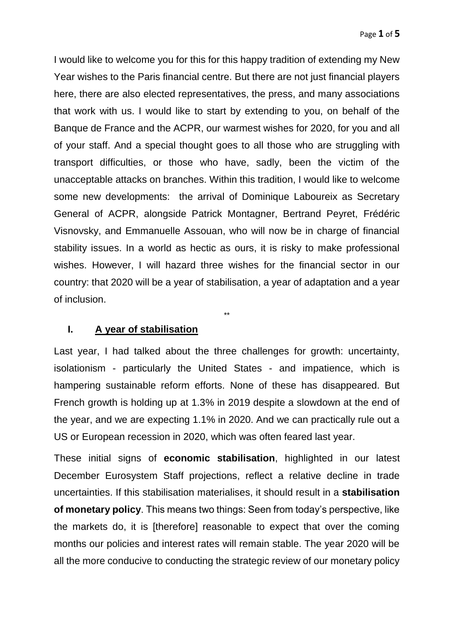I would like to welcome you for this for this happy tradition of extending my New Year wishes to the Paris financial centre. But there are not just financial players here, there are also elected representatives, the press, and many associations that work with us. I would like to start by extending to you, on behalf of the Banque de France and the ACPR, our warmest wishes for 2020, for you and all of your staff. And a special thought goes to all those who are struggling with transport difficulties, or those who have, sadly, been the victim of the unacceptable attacks on branches. Within this tradition, I would like to welcome some new developments: the arrival of Dominique Laboureix as Secretary General of ACPR, alongside Patrick Montagner, Bertrand Peyret, Frédéric Visnovsky, and Emmanuelle Assouan, who will now be in charge of financial stability issues. In a world as hectic as ours, it is risky to make professional wishes. However, I will hazard three wishes for the financial sector in our country: that 2020 will be a year of stabilisation, a year of adaptation and a year of inclusion.

#### **I. A year of stabilisation**

Last year, I had talked about the three challenges for growth: uncertainty, isolationism - particularly the United States - and impatience, which is hampering sustainable reform efforts. None of these has disappeared. But French growth is holding up at 1.3% in 2019 despite a slowdown at the end of the year, and we are expecting 1.1% in 2020. And we can practically rule out a US or European recession in 2020, which was often feared last year.

\*\*

These initial signs of **economic stabilisation**, highlighted in our latest December Eurosystem Staff projections, reflect a relative decline in trade uncertainties. If this stabilisation materialises, it should result in a **stabilisation of monetary policy**. This means two things: Seen from today's perspective, like the markets do, it is [therefore] reasonable to expect that over the coming months our policies and interest rates will remain stable. The year 2020 will be all the more conducive to conducting the strategic review of our monetary policy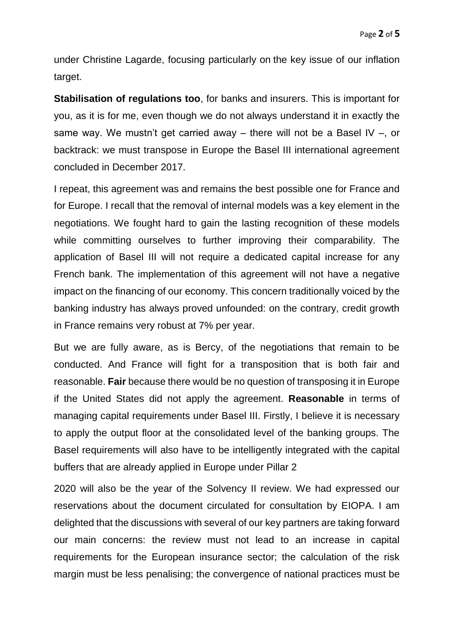under Christine Lagarde, focusing particularly on the key issue of our inflation target.

**Stabilisation of regulations too**, for banks and insurers. This is important for you, as it is for me, even though we do not always understand it in exactly the same way. We mustn't get carried away – there will not be a Basel IV –, or backtrack: we must transpose in Europe the Basel III international agreement concluded in December 2017.

I repeat, this agreement was and remains the best possible one for France and for Europe. I recall that the removal of internal models was a key element in the negotiations. We fought hard to gain the lasting recognition of these models while committing ourselves to further improving their comparability. The application of Basel III will not require a dedicated capital increase for any French bank. The implementation of this agreement will not have a negative impact on the financing of our economy. This concern traditionally voiced by the banking industry has always proved unfounded: on the contrary, credit growth in France remains very robust at 7% per year.

But we are fully aware, as is Bercy, of the negotiations that remain to be conducted. And France will fight for a transposition that is both fair and reasonable. **Fair** because there would be no question of transposing it in Europe if the United States did not apply the agreement. **Reasonable** in terms of managing capital requirements under Basel III. Firstly, I believe it is necessary to apply the output floor at the consolidated level of the banking groups. The Basel requirements will also have to be intelligently integrated with the capital buffers that are already applied in Europe under Pillar 2

2020 will also be the year of the Solvency II review. We had expressed our reservations about the document circulated for consultation by EIOPA. I am delighted that the discussions with several of our key partners are taking forward our main concerns: the review must not lead to an increase in capital requirements for the European insurance sector; the calculation of the risk margin must be less penalising; the convergence of national practices must be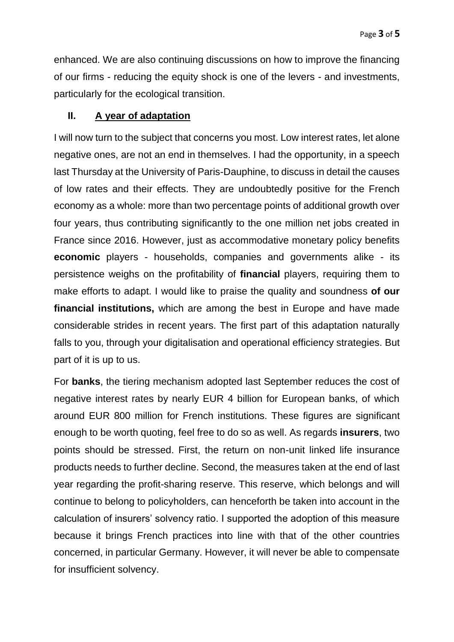enhanced. We are also continuing discussions on how to improve the financing of our firms - reducing the equity shock is one of the levers - and investments, particularly for the ecological transition.

### **II. A year of adaptation**

I will now turn to the subject that concerns you most. Low interest rates, let alone negative ones, are not an end in themselves. I had the opportunity, in a speech last Thursday at the University of Paris-Dauphine, to discuss in detail the causes of low rates and their effects. They are undoubtedly positive for the French economy as a whole: more than two percentage points of additional growth over four years, thus contributing significantly to the one million net jobs created in France since 2016. However, just as accommodative monetary policy benefits **economic** players - households, companies and governments alike - its persistence weighs on the profitability of **financial** players, requiring them to make efforts to adapt. I would like to praise the quality and soundness **of our financial institutions,** which are among the best in Europe and have made considerable strides in recent years. The first part of this adaptation naturally falls to you, through your digitalisation and operational efficiency strategies. But part of it is up to us.

For **banks**, the tiering mechanism adopted last September reduces the cost of negative interest rates by nearly EUR 4 billion for European banks, of which around EUR 800 million for French institutions. These figures are significant enough to be worth quoting, feel free to do so as well. As regards **insurers**, two points should be stressed. First, the return on non-unit linked life insurance products needs to further decline. Second, the measures taken at the end of last year regarding the profit-sharing reserve. This reserve, which belongs and will continue to belong to policyholders, can henceforth be taken into account in the calculation of insurers' solvency ratio. I supported the adoption of this measure because it brings French practices into line with that of the other countries concerned, in particular Germany. However, it will never be able to compensate for insufficient solvency.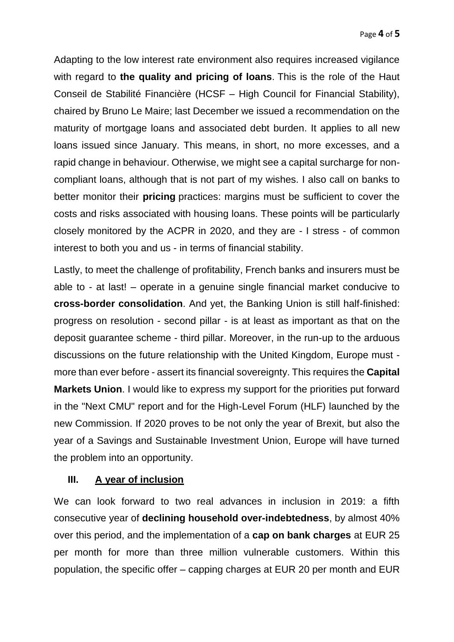Adapting to the low interest rate environment also requires increased vigilance with regard to **the quality and pricing of loans**. This is the role of the Haut Conseil de Stabilité Financière (HCSF – High Council for Financial Stability), chaired by Bruno Le Maire; last December we issued a recommendation on the maturity of mortgage loans and associated debt burden. It applies to all new loans issued since January. This means, in short, no more excesses, and a rapid change in behaviour. Otherwise, we might see a capital surcharge for noncompliant loans, although that is not part of my wishes. I also call on banks to better monitor their **pricing** practices: margins must be sufficient to cover the costs and risks associated with housing loans. These points will be particularly closely monitored by the ACPR in 2020, and they are - I stress - of common interest to both you and us - in terms of financial stability.

Lastly, to meet the challenge of profitability, French banks and insurers must be able to - at last! – operate in a genuine single financial market conducive to **cross-border consolidation**. And yet, the Banking Union is still half-finished: progress on resolution - second pillar - is at least as important as that on the deposit guarantee scheme - third pillar. Moreover, in the run-up to the arduous discussions on the future relationship with the United Kingdom, Europe must more than ever before - assert its financial sovereignty. This requires the **Capital Markets Union**. I would like to express my support for the priorities put forward in the "Next CMU" report and for the High-Level Forum (HLF) launched by the new Commission. If 2020 proves to be not only the year of Brexit, but also the year of a Savings and Sustainable Investment Union, Europe will have turned the problem into an opportunity.

## **III. A year of inclusion**

We can look forward to two real advances in inclusion in 2019: a fifth consecutive year of **declining household over-indebtedness**, by almost 40% over this period, and the implementation of a **cap on bank charges** at EUR 25 per month for more than three million vulnerable customers. Within this population, the specific offer – capping charges at EUR 20 per month and EUR